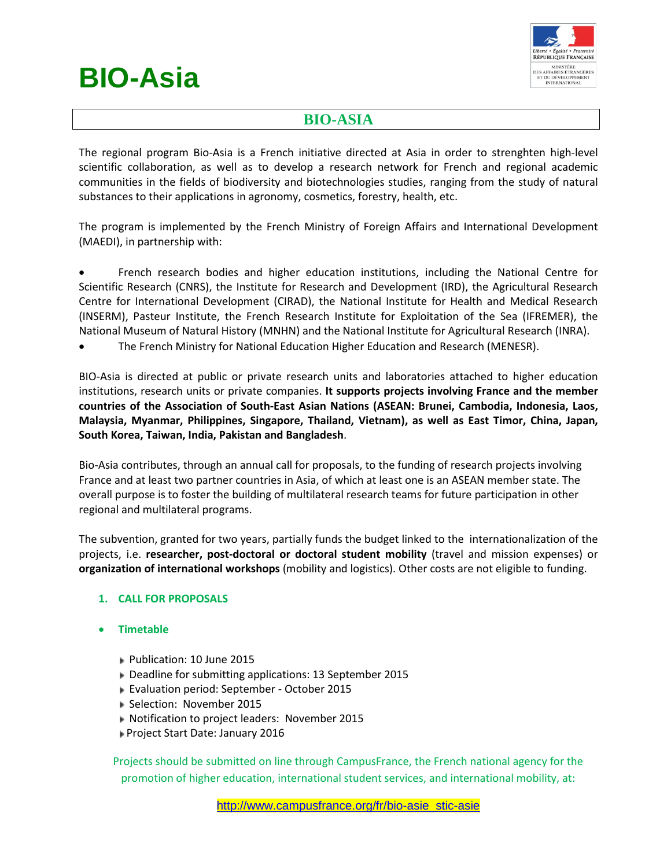# **BIO-Asia**



# **BIO-ASIA**

The regional program Bio-Asia is a French initiative directed at Asia in order to strenghten high-level scientific collaboration, as well as to develop a research network for French and regional academic communities in the fields of biodiversity and biotechnologies studies, ranging from the study of natural substances to their applications in agronomy, cosmetics, forestry, health, etc.

The program is implemented by the French Ministry of Foreign Affairs and International Development (MAEDI), in partnership with:

• French research bodies and higher education institutions, including the National Centre for Scientific Research (CNRS), the Institute for Research and Development (IRD), the Agricultural Research Centre for International Development (CIRAD), the National Institute for Health and Medical Research (INSERM), Pasteur Institute, the French Research Institute for Exploitation of the Sea (IFREMER), the National Museum of Natural History (MNHN) and the National Institute for Agricultural Research (INRA).

• The French Ministry for National Education Higher Education and Research (MENESR).

BIO-Asia is directed at public or private research units and laboratories attached to higher education institutions, research units or private companies. **It supports projects involving France and the member countries of the Association of South-East Asian Nations (ASEAN: Brunei, Cambodia, Indonesia, Laos, Malaysia, Myanmar, Philippines, Singapore, Thailand, Vietnam), as well as East Timor, China, Japan, South Korea, Taiwan, India, Pakistan and Bangladesh**.

Bio-Asia contributes, through an annual call for proposals, to the funding of research projects involving France and at least two partner countries in Asia, of which at least one is an ASEAN member state. The overall purpose is to foster the building of multilateral research teams for future participation in other regional and multilateral programs.

The subvention, granted for two years, partially funds the budget linked to the internationalization of the projects, i.e. **researcher, post-doctoral or doctoral student mobility** (travel and mission expenses) or **organization of international workshops** (mobility and logistics). Other costs are not eligible to funding.

# **1. CALL FOR PROPOSALS**

- **Timetable**
	- Publication: 10 June 2015
	- Deadline for submitting applications: 13 September 2015
	- Evaluation period: September October 2015
	- Selection: November 2015
	- Notification to project leaders: November 2015
	- Project Start Date: January 2016

Projects should be submitted on line through CampusFrance, the French national agency for the promotion of higher education, international student services, and international mobility, at: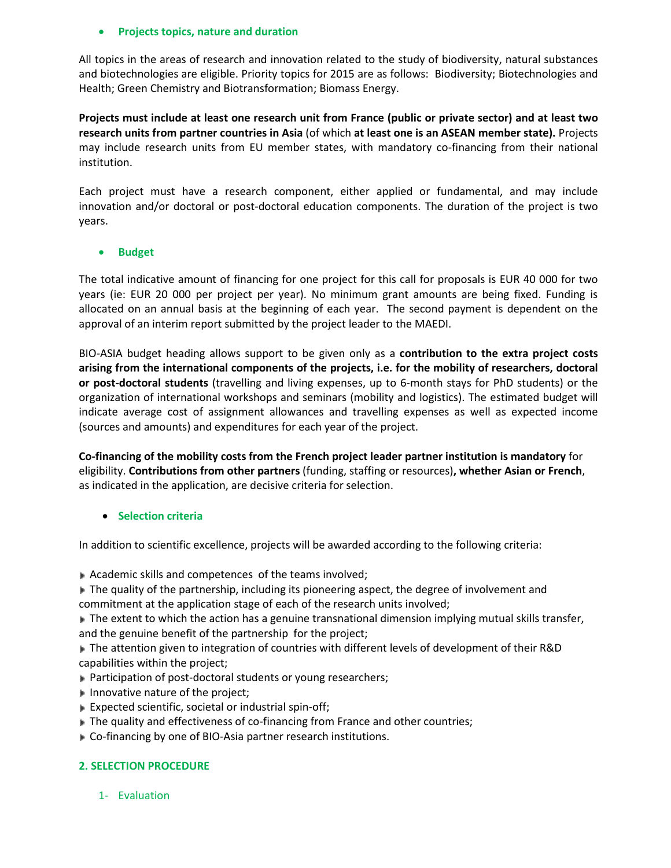#### • **Projects topics, nature and duration**

All topics in the areas of research and innovation related to the study of biodiversity, natural substances and biotechnologies are eligible. Priority topics for 2015 are as follows: Biodiversity; Biotechnologies and Health; Green Chemistry and Biotransformation; Biomass Energy.

**Projects must include at least one research unit from France (public or private sector) and at least two research units from partner countries in Asia** (of which **at least one is an ASEAN member state).** Projects may include research units from EU member states, with mandatory co-financing from their national institution.

Each project must have a research component, either applied or fundamental, and may include innovation and/or doctoral or post-doctoral education components. The duration of the project is two years.

#### • **Budget**

The total indicative amount of financing for one project for this call for proposals is EUR 40 000 for two years (ie: EUR 20 000 per project per year). No minimum grant amounts are being fixed. Funding is allocated on an annual basis at the beginning of each year. The second payment is dependent on the approval of an interim report submitted by the project leader to the MAEDI.

BIO-ASIA budget heading allows support to be given only as a **contribution to the extra project costs arising from the international components of the projects, i.e. for the mobility of researchers, doctoral or post-doctoral students** (travelling and living expenses, up to 6-month stays for PhD students) or the organization of international workshops and seminars (mobility and logistics). The estimated budget will indicate average cost of assignment allowances and travelling expenses as well as expected income (sources and amounts) and expenditures for each year of the project.

**Co-financing of the mobility costs from the French project leader partner institution is mandatory** for eligibility. **Contributions from other partners** (funding, staffing or resources)**, whether Asian or French**, as indicated in the application, are decisive criteria for selection.

#### • **Selection criteria**

In addition to scientific excellence, projects will be awarded according to the following criteria:

Academic skills and competences of the teams involved;

The quality of the partnership, including its pioneering aspect, the degree of involvement and commitment at the application stage of each of the research units involved;

 $\blacktriangleright$  The extent to which the action has a genuine transnational dimension implying mutual skills transfer, and the genuine benefit of the partnership for the project;

▶ The attention given to integration of countries with different levels of development of their R&D capabilities within the project;

- ▶ Participation of post-doctoral students or young researchers;
- Innovative nature of the project;
- Expected scientific, societal or industrial spin-off;
- The quality and effectiveness of co-financing from France and other countries;
- Co-financing by one of BIO-Asia partner research institutions.

#### **2. SELECTION PROCEDURE**

1- Evaluation